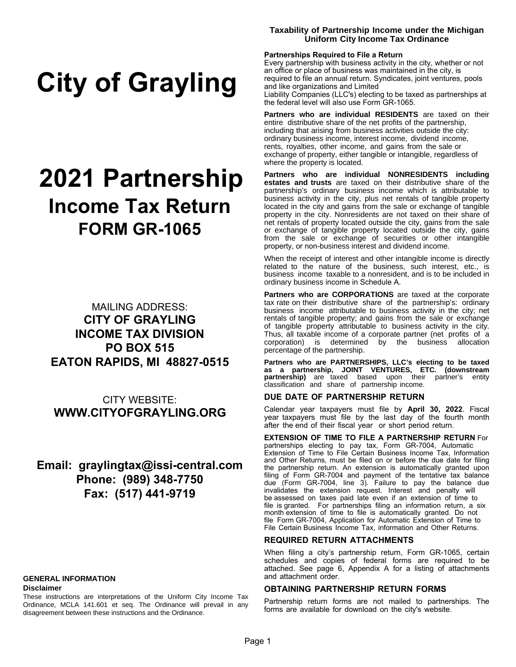# **City of Grayling**

# **2021 Partnership Income Tax Return FORM GR-1065**

MAILING ADDRESS: **CITY OF GRAYLING INCOME TAX DIVISION PO BOX 515 EATON RAPIDS, MI 48827-0515**

CITY WEBSITE: **WWW.CITYOFGRAYLING.ORG**

## **Email: graylingtax@issi-central.com Phone: (989) 348-7750 Fax: (517) 441-9719**

## **GENERAL INFORMATION**

#### **Disclaimer**

These instructions are interpretations of the Uniform City Income Tax Ordinance, MCLA 141.601 et seq. The Ordinance will prevail in any disagreement between these instructions and the Ordinance.

#### **Taxability of Partnership Income under the Michigan Uniform City Income Tax Ordinance**

#### **Partnerships Required to File a Return**

Every partnership with business activity in the city, whether or not an office or place of business was maintained in the city, is required to file an annual return. Syndicates, joint ventures, pools and like organizations and Limited Liability Companies (LLC's) electing to be taxed as partnerships at the federal level will also use Form GR-1065.

**Partners who are individual RESIDENTS** are taxed on their entire distributive share of the net profits of the partnership, including that arising from business activities outside the city: ordinary business income, interest income, dividend income, rents, royalties, other income, and gains from the sale or exchange of property, either tangible or intangible, regardless of where the property is located.

**Partners who are individual NONRESIDENTS including estates and trusts** are taxed on their distributive share of the partnership's ordinary business income which is attributable to business activity in the city, plus net rentals of tangible property located in the city and gains from the sale or exchange of tangible property in the city. Nonresidents are not taxed on their share of net rentals of property located outside the city, gains from the sale or exchange of tangible property located outside the city, gains from the sale or exchange of securities or other intangible property, or non-business interest and dividend income.

When the receipt of interest and other intangible income is directly related to the nature of the business, such interest, etc., is business income taxable to a nonresident, and is to be included in ordinary business income in Schedule A.

**Partners who are CORPORATIONS** are taxed at the corporate tax rate on their distributive share of the partnership's: ordinary business income attributable to business activity in the city; net rentals of tangible property; and gains from the sale or exchange of tangible property attributable to business activity in the city. Thus, all taxable income of a corporate partner (net profits of a corporation) is determined by the business allocation percentage of the partnership.

**Partners who are PARTNERSHIPS, LLC's electing to be taxed as a partnership, JOINT VENTURES, ETC. (downstream partnership)** are taxed based upon their partner's entity classification and share of partnership income.

#### **DUE DATE OF PARTNERSHIP RETURN**

Calendar year taxpayers must file by **April 30, 2022**. Fiscal year taxpayers must file by the last day of the fourth month after the end of their fiscal year or short period return.

#### **EXTENSION OF TIME TO FILE A PARTNERSHIP RETURN** For

partnerships electing to pay tax, Form GR-7004, Automatic Extension of Time to File Certain Business Income Tax, Information and Other Returns, must be filed on or before the due date for filing the partnership return. An extension is automatically granted upon filing of Form GR-7004 and payment of the tentative tax balance due (Form GR-7004, line 3). Failure to pay the balance due invalidates the extension request. Interest and penalty will be assessed on taxes paid late even if an extension of time to file is granted. For partnerships filing an information return, a six month extension of time to file is automatically granted. Do not file Form GR-7004, Application for Automatic Extension of Time to File Certain Business Income Tax, information and Other Returns.

#### **REQUIRED RETURN ATTACHMENTS**

When filing a city's partnership return, Form GR-1065, certain schedules and copies of federal forms are required to be attached. See page 6, Appendix A for a listing of attachments and attachment order.

#### **OBTAINING PARTNERSHIP RETURN FORMS**

Partnership return forms are not mailed to partnerships. The forms are available for download on the city's website.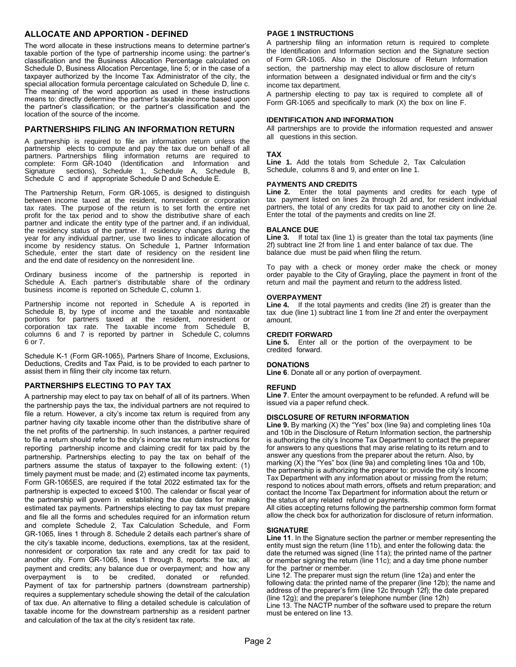### **ALLOCATE AND APPORTION - DEFINED**

The word allocate in these instructions means to determine partner's taxable portion of the type of partnership income using: the partner's classification and the Business Allocation Percentage calculated on Schedule D, Business Allocation Percentage, line 5; or in the case of a taxpayer authorized by the Income Tax Administrator of the city, the special allocation formula percentage calculated on Schedule D, line c. The meaning of the word apportion as used in these instructions means to: directly determine the partner's taxable income based upon the partner's classification; or the partner's classification and the location of the source of the income.

#### **PARTNERSHIPS FILING AN INFORMATION RETURN**

A partnership is required to file an information return unless the partnership elects to compute and pay the tax due on behalf of all partners. Partnerships filing information returns are required to complete: Form GR-1040 (Identification and Information and Signature sections), Schedule 1, Schedule A, Schedule B, Schedule C and if appropriate Schedule D and Schedule E.

The Partnership Return, Form GR-1065, is designed to distinguish between income taxed at the resident, nonresident or corporation tax rates. The purpose of the return is to set forth the entire net profit for the tax period and to show the distributive share of each partner and indicate the entity type of the partner and, if an individual, the residency status of the partner. If residency changes during the year for any individual partner, use two lines to indicate allocation of income by residency status. On Schedule 1, Partner Information Schedule, enter the start date of residency on the resident line and the end date of residency on the nonresident line.

Ordinary business income of the partnership is reported in Schedule A. Each partner's distributable share of the ordinary business income is reported on Schedule C, column 1.

Partnership income not reported in Schedule A is reported in Schedule B, by type of income and the taxable and nontaxable portions for partners taxed at the resident, nonresident or corporation tax rate. The taxable income from Schedule B, columns 6 and 7 is reported by partner in Schedule C, columns 6 or 7.

Schedule K-1 (Form GR-1065), Partners Share of Income, Exclusions, Deductions, Credits and Tax Paid, is to be provided to each partner to assist them in filing their city income tax return.

#### **PARTNERSHIPS ELECTING TO PAY TAX**

A partnership may elect to pay tax on behalf of all of its partners. When the partnership pays the tax, the individual partners are not required to file a return. However, a city's income tax return is required from any partner having city taxable income other than the distributive share of the net profits of the partnership. In such instances, a partner required to file a return should refer to the city's income tax return instructions for reporting partnership income and claiming credit for tax paid by the partnership. Partnerships electing to pay the tax on behalf of the partners assume the status of taxpayer to the following extent: (1) timely payment must be made; and (2) estimated income tax payments, Form GR-1065ES, are required if the total 2022 estimated tax for the partnership is expected to exceed \$100. The calendar or fiscal year of the partnership will govern in establishing the due dates for making estimated tax payments. Partnerships electing to pay tax must prepare and file all the forms and schedules required for an information return and complete Schedule 2, Tax Calculation Schedule, and Form GR-1065, lines 1 through 8. Schedule 2 details each partner's share of the city's taxable income, deductions, exemptions, tax at the resident, nonresident or corporation tax rate and any credit for tax paid to another city. Form GR-1065, lines 1 through 8, reports: the tax; all payment and credits; any balance due or overpayment; and how any overpayment is to be credited, donated or refunded. Payment of tax for partnership partners (downstream partnership) requires a supplementary schedule showing the detail of the calculation of tax due. An alternative to filing a detailed schedule is calculation of taxable income for the downstream partnership as a resident partner and calculation of the tax at the city's resident tax rate.

#### **PAGE 1 INSTRUCTIONS**

A partnership filing an information return is required to complete the Identification and Information section and the Signature section of Form GR-1065. Also in the Disclosure of Return Information section, the partnership may elect to allow disclosure of return information between a designated individual or firm and the city's income tax department.

A partnership electing to pay tax is required to complete all of Form GR-1065 and specifically to mark (X) the box on line F.

#### **IDENTIFICATION AND INFORMATION**

All partnerships are to provide the information requested and answer all questions in this section.

#### **TAX**

**Line 1.** Add the totals from Schedule 2, Tax Calculation Schedule, columns 8 and 9, and enter on line 1.

#### **PAYMENTS AND CREDITS**

**Line 2.** Enter the total payments and credits for each type of tax payment listed on lines 2a through 2d and, for resident individual partners, the total of any credits for tax paid to another city on line 2e. Enter the total of the payments and credits on line 2f.

#### **BALANCE DUE**

Line 3. If total tax (line 1) is greater than the total tax payments (line 2f) subtract line 2f from line 1 and enter balance of tax due. The balance due must be paid when filing the return.

To pay with a check or money order make the check or money order payable to the City of Grayling, place the payment in front of the return and mail the payment and return to the address listed.

#### **OVERPAYMENT**

**Line 4.** If the total payments and credits (line 2f) is greater than the tax due (line 1) subtract line 1 from line 2f and enter the overpayment amount.

#### **CREDIT FORWARD**

**Line 5.** Enter all or the portion of the overpayment to be credited forward.

#### **DONATIONS**

**Line 6**. Donate all or any portion of overpayment.

#### **REFUND**

**Line 7**. Enter the amount overpayment to be refunded. A refund will be issued via a paper refund check.

#### **DISCLOSURE OF RETURN INFORMATION**

**Line 9.** By marking (X) the "Yes" box (line 9a) and completing lines 10a and 10b in the Disclosure of Return Information section, the partnership is authorizing the city's Income Tax Department to contact the preparer for answers to any questions that may arise relating to its return and to answer any questions from the preparer about the return. Also, by marking  $(X)$  the "Yes" box (line 9a) and completing lines 10a and 10b, the partnership is authorizing the preparer to: provide the city's Income Tax Department with any information about or missing from the return; respond to notices about math errors, offsets and return preparation; and contact the Income Tax Department for information about the return or the status of any related refund or payments.

All cities accepting returns following the partnership common form format allow the check box for authorization for disclosure of return information.

#### **SIGNATURE**

**Line 11**. In the Signature section the partner or member representing the entity must sign the return (line 11b), and enter the following data: the date the returned was signed (line 11a); the printed name of the partner or member signing the return (line 11c); and a day time phone number for the partner or member.

Line 12. The preparer must sign the return (line 12a) and enter the following data: the printed name of the preparer (line 12b); the name and address of the preparer's firm (line 12c through 12f); the date prepared (line 12g); and the preparer's telephone number (line 12h) Line 13. The NACTP number of the software used to prepare the return must be entered on line 13.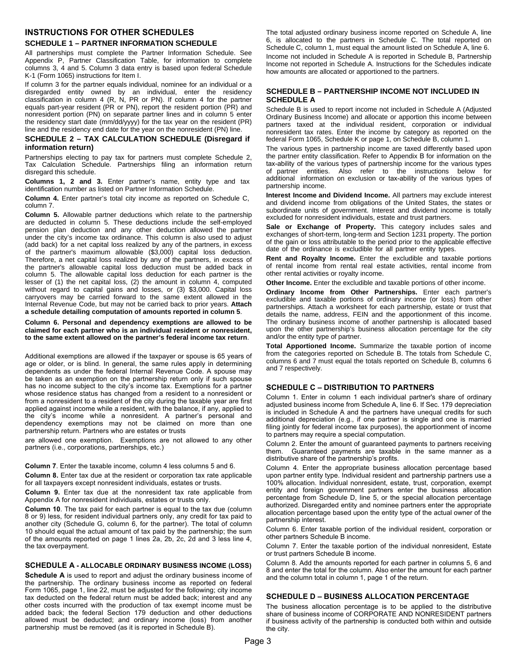#### **INSTRUCTIONS FOR OTHER SCHEDULES SCHEDULE 1 – PARTNER INFORMATION SCHEDULE**

All partnerships must complete the Partner Information Schedule. See Appendix P, Partner Classification Table, for information to complete columns 3, 4 and 5. Column 3 data entry is based upon federal Schedule K-1 (Form 1065) instructions for Item I.

If column 3 for the partner equals individual, nominee for an individual or a disregarded entity owned by an individual, enter the residency classification in column 4 (R, N, PR or PN). If column 4 for the partner equals part-year resident (PR or PN), report the resident portion (PR) and nonresident portion (PN) on separate partner lines and in column 5 enter the residency start date (mm/dd/yyyy) for the tax year on the resident (PR) line and the residency end date for the year on the nonresident (PN) line.

#### **SCHEDULE 2 – TAX CALCULATION SCHEDULE (Disregard if information return)**

Partnerships electing to pay tax for partners must complete Schedule 2, Tax Calculation Schedule. Partnerships filing an information return disregard this schedule.

**Columns 1, 2 and 3.** Enter partner's name, entity type and tax identification number as listed on Partner Information Schedule.

**Column 4.** Enter partner's total city income as reported on Schedule C, column 7.

**Column 5.** Allowable partner deductions which relate to the partnership are deducted in column 5. These deductions include the self-employed pension plan deduction and any other deduction allowed the partner under the city's income tax ordinance. This column is also used to adjust (add back) for a net capital loss realized by any of the partners, in excess of the partner's maximum allowable (\$3,000) capital loss deduction. Therefore, a net capital loss realized by any of the partners, in excess of the partner's allowable capital loss deduction must be added back in column 5. The allowable capital loss deduction for each partner is the lesser of (1) the net capital loss, (2) the amount in column 4, computed without regard to capital gains and losses, or (3) \$3,000. Capital loss carryovers may be carried forward to the same extent allowed in the Internal Revenue Code, but may not be carried back to prior years. **Attach a schedule detailing computation of amounts reported in column 5**.

**Column 6. Personal and dependency exemptions are allowed to be claimed for each partner who is an individual resident or nonresident, to the same extent allowed on the partner's federal income tax return**.

Additional exemptions are allowed if the taxpayer or spouse is 65 years of age or older, or is blind. In general, the same rules apply in determining dependents as under the federal Internal Revenue Code. A spouse may be taken as an exemption on the partnership return only if such spouse has no income subject to the city's income tax. Exemptions for a partner whose residence status has changed from a resident to a nonresident or from a nonresident to a resident of the city during the taxable year are first applied against income while a resident, with the balance, if any, applied to the city's income while a nonresident. A partner's personal and dependency exemptions may not be claimed on more than one partnership return. Partners who are estates or trusts

are allowed one exemption. Exemptions are not allowed to any other partners (i.e., corporations, partnerships, etc.)

#### **Column 7**. Enter the taxable income, column 4 less columns 5 and 6.

**Column 8.** Enter tax due at the resident or corporation tax rate applicable for all taxpayers except nonresident individuals, estates or trusts.

**Column 9.** Enter tax due at the nonresident tax rate applicable from Appendix A for nonresident individuals, estates or trusts only.

**Column 10**. The tax paid for each partner is equal to the tax due (column 8 or 9) less, for resident individual partners only, any credit for tax paid to another city (Schedule G, column 6, for the partner). The total of column 10 should equal the actual amount of tax paid by the partnership; the sum of the amounts reported on page 1 lines 2a, 2b, 2c, 2d and 3 less line 4, the tax overpayment.

#### **SCHEDULE A - ALLOCABLE ORDINARY BUSINESS INCOME (LOSS)**

**Schedule A** is used to report and adjust the ordinary business income of the partnership. The ordinary business income as reported on federal Form 1065, page 1, line 22, must be adjusted for the following; city income tax deducted on the federal return must be added back; interest and any other costs incurred with the production of tax exempt income must be added back; the federal Section 179 deduction and other deductions allowed must be deducted; and ordinary income (loss) from another partnership must be removed (as it is reported in Schedule B).

The total adjusted ordinary business income reported on Schedule A, line 6, is allocated to the partners in Schedule C. The total reported on Schedule C, column 1, must equal the amount listed on Schedule A, line 6. Income not included in Schedule A is reported in Schedule B, Partnership Income not reported in Schedule A. Instructions for the Schedules indicate how amounts are allocated or apportioned to the partners.

#### **SCHEDULE B – PARTNERSHIP INCOME NOT INCLUDED IN SCHEDULE A**

Schedule B is used to report income not included in Schedule A (Adjusted Ordinary Business Income) and allocate or apportion this income between partners taxed at the individual resident, corporation or individual nonresident tax rates. Enter the income by category as reported on the federal Form 1065, Schedule K or page 1, on Schedule B, column 1.

The various types in partnership income are taxed differently based upon the partner entity classification. Refer to Appendix B for information on the tax-ability of the various types of partnership income for the various types of partner entities. Also refer to the instructions below for additional information on exclusion or tax-ability of the various types of partnership income.

**Interest Income and Dividend Income.** All partners may exclude interest and dividend income from obligations of the United States, the states or subordinate units of government. Interest and dividend income is totally excluded for nonresident individuals, estate and trust partners.

**Sale or Exchange of Property.** This category includes sales and exchanges of short-term, long-term and Section 1231 property. The portion of the gain or loss attributable to the period prior to the applicable effective date of the ordinance is excludible for all partner entity types.

**Rent and Royalty Income.** Enter the excludible and taxable portions of rental income from rental real estate activities, rental income from other rental activities or royalty income.

**Other Income.** Enter the excludible and taxable portions of other income.

**Ordinary Income from Other Partnerships.** Enter each partner's excludible and taxable portions of ordinary income (or loss) from other partnerships. Attach a worksheet for each partnership, estate or trust that details the name, address, FEIN and the apportionment of this income. The ordinary business income of another partnership is allocated based upon the other partnership's business allocation percentage for the city and/or the entity type of partner.

**Total Apportioned Income.** Summarize the taxable portion of income from the categories reported on Schedule B. The totals from Schedule C, columns 6 and 7 must equal the totals reported on Schedule B, columns 6 and 7 respectively.

#### **SCHEDULE C – DISTRIBUTION TO PARTNERS**

Column 1. Enter in column 1 each individual partner's share of ordinary adjusted business income from Schedule A, line 6. If Sec. 179 depreciation is included in Schedule A and the partners have unequal credits for such additional depreciation (e.g., if one partner is single and one is married filing jointly for federal income tax purposes), the apportionment of income to partners may require a special computation.

Column 2. Enter the amount of guaranteed payments to partners receiving them. Guaranteed payments are taxable in the same manner as a distributive share of the partnership's profits.

Column 4. Enter the appropriate business allocation percentage based upon partner entity type. Individual resident and partnership partners use a 100% allocation. Individual nonresident, estate, trust, corporation, exempt entity and foreign government partners enter the business allocation percentage from Schedule D, line 5, or the special allocation percentage authorized. Disregarded entity and nominee partners enter the appropriate allocation percentage based upon the entity type of the actual owner of the partnership interest.

Column 6. Enter taxable portion of the individual resident, corporation or other partners Schedule B income.

Column 7. Enter the taxable portion of the individual nonresident, Estate or trust partners Schedule B income.

Column 8. Add the amounts reported for each partner in columns 5, 6 and 8 and enter the total for the column. Also enter the amount for each partner and the column total in column 1, page 1 of the return.

#### **SCHEDULE D – BUSINESS ALLOCATION PERCENTAGE**

The business allocation percentage is to be applied to the distributive share of business income of CORPORATE AND NONRESIDENT partners if business activity of the partnership is conducted both within and outside the city.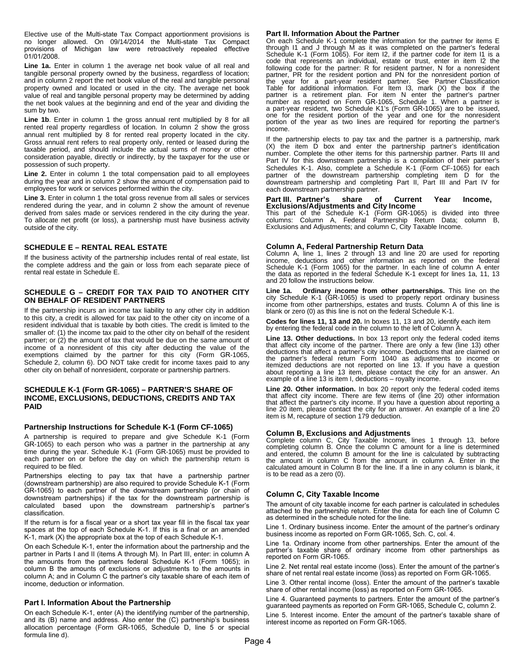Elective use of the Multi-state Tax Compact apportionment provisions is no longer allowed. On 09/14/2014 the Multi-state Tax Compact provisions of Michigan law were retroactively repealed effective 01/01/2008.

Line 1a. Enter in column 1 the average net book value of all real and tangible personal property owned by the business, regardless of location; and in column 2 report the net book value of the real and tangible personal property owned and located or used in the city. The average net book value of real and tangible personal property may be determined by adding the net book values at the beginning and end of the year and dividing the sum by two.

Line 1b. Enter in column 1 the gross annual rent multiplied by 8 for all rented real property regardless of location. In column 2 show the gross annual rent multiplied by 8 for rented real property located in the city. Gross annual rent refers to real property only, rented or leased during the taxable period, and should include the actual sums of money or other consideration payable, directly or indirectly, by the taxpayer for the use or possession of such property.

Line 2. Enter in column 1 the total compensation paid to all employees during the year and in column 2 show the amount of compensation paid to employees for work or services performed within the city.

**Line 3.** Enter in column 1 the total gross revenue from all sales or services rendered during the year, and in column 2 show the amount of revenue derived from sales made or services rendered in the city during the year. To allocate net profit (or loss), a partnership must have business activity outside of the city.

#### **SCHEDULE E – RENTAL REAL ESTATE**

If the business activity of the partnership includes rental of real estate, list the complete address and the gain or loss from each separate piece of rental real estate in Schedule E.

#### **SCHEDULE G – CREDIT FOR TAX PAID TO ANOTHER CITY ON BEHALF OF RESIDENT PARTNERS**

If the partnership incurs an income tax liability to any other city in addition to this city, a credit is allowed for tax paid to the other city on income of a resident individual that is taxable by both cities. The credit is limited to the smaller of: (1) the income tax paid to the other city on behalf of the resident partner; or (2) the amount of tax that would be due on the same amount of income of a nonresident of this city after deducting the value of the exemptions claimed by the partner for this city (Form GR-1065, Schedule 2, column 6). DO NOT take credit for income taxes paid to any other city on behalf of nonresident, corporate or partnership partners.

#### **SCHEDULE K-1 (Form GR-1065) – PARTNER'S SHARE OF INCOME, EXCLUSIONS, DEDUCTIONS, CREDITS AND TAX PAID**

#### **Partnership Instructions for Schedule K-1 (Form CF-1065)**

A partnership is required to prepare and give Schedule K-1 (Form GR-1065) to each person who was a partner in the partnership at any time during the year. Schedule K-1 (Form GR-1065) must be provided to each partner on or before the day on which the partnership return is required to be filed.

Partnerships electing to pay tax that have a partnership partner (downstream partnership) are also required to provide Schedule K-1 (Form GR-1065) to each partner of the downstream partnership (or chain of downstream partnerships) if the tax for the downstream partnership is calculated based upon the downstream partnership's partner's classification.

If the return is for a fiscal year or a short tax year fill in the fiscal tax year spaces at the top of each Schedule K-1. If this is a final or an amended K-1, mark (X) the appropriate box at the top of each Schedule K-1.

On each Schedule K-1, enter the information about the partnership and the partner in Parts I and II (items A through M). In Part III, enter: in column A the amounts from the partners federal Schedule K-1 (Form 1065); in column B the amounts of exclusions or adjustments to the amounts in column A; and in Column C the partner's city taxable share of each item of income, deduction or information.

#### **Part I. Information About the Partnership**

On each Schedule K-1, enter (A) the identifying number of the partnership, and its (B) name and address. Also enter the (C) partnership's business allocation percentage (Form GR-1065, Schedule D, line 5 or special formula line d).

#### **Part II. Information About the Partner**

On each Schedule K-1 complete the information for the partner for items E through I1 and J through M as it was completed on the partner's federal Schedule K-1 (Form 1065). For item I2, if the partner code for item I1 is a code that represents an individual, estate or trust, enter in item I2 the following code for the partner: R for resident partner, N for a nonresident partner, PR for the resident portion and PN for the nonresident portion of the year for a part-year resident partner. See Partner Classification Table for additional information. For Item I3, mark (X) the box if the partner is a retirement plan. For item N enter the partner's partner number as reported on Form GR-1065, Schedule 1. When a partner is a part-year resident, two Schedule K1's (Form GR-1065) are to be issued, one for the resident portion of the year and one for the nonresident portion of the year as two lines are required for reporting the partner's income.

If the partnership elects to pay tax and the partner is a partnership, mark (X) the item D box and enter the partnership partner's identification number. Complete the other items for this partnership partner. Parts III and Part IV for this downstream partnership is a compilation of their partner's Schedules K-1. Also, complete a Schedule K-1 (Form CF-1065) for each partner of the downstream partnership completing item D for the downstream partnership and completing Part II, Part III and Part IV for each downstream partnership partner.

#### **Part III. Partner's share of Current Year Income, Exclusions/Adjustments and City Income**

This part of the Schedule K-1 (Form GR-1065) is divided into three columns: Column A, Federal Partnership Return Data; column B, Exclusions and Adjustments; and column C, City Taxable Income.

**Column A, Federal Partnership Return Data**  Column A, line 1, lines 2 through 13 and line 20 are used for reporting income, deductions and other information as reported on the federal Schedule K-1 (Form 1065) for the partner. In each line of column A enter the data as reported in the federal Schedule K-1 except for lines 1a, 11, 13 and 20 follow the instructions below.

**Line 1a. Ordinary income from other partnerships.** This line on the city Schedule K-1 (GR-1065) is used to properly report ordinary business income from other partnerships, estates and trusts. Column A of this line is blank or zero (0) as this line is not on the federal Schedule K-1.

**Codes for lines 11, 13 and 20.** In boxes 11, 13 and 20, identify each item by entering the federal code in the column to the left of Column A.

**Line 13. Other deductions.** In box 13 report only the federal coded items that affect city income of the partner. There are only a few (line 13) other deductions that affect a partner's city income. Deductions that are claimed on the partner's federal return Form 1040 as adjustments to income or itemized deductions are not reported on line 13. If you have a question about reporting a line 13 item, please contact the city for an answer. An example of a line 13 is item I, deductions - royalty income.

**Line 20. Other information.** In box 20 report only the federal coded items that affect city income. There are few items of (line 20) other information that affect the partner's city income. If you have a question about reporting a line 20 item, please contact the city for an answer. An example of a line 20 item is M, recapture of section 179 deduction.

#### **Column B, Exclusions and Adjustments**

Complete column C, City Taxable Income, lines 1 through 13, before completing column B. Once the column C amount for a line is determined and entered, the column B amount for the line is calculated by subtracting the amount in column C from the amount in column A. Enter in the calculated amount in Column B for the line. If a line in any column is blank, it is to be read as a zero (0).

#### **Column C, City Taxable Income**

The amount of city taxable income for each partner is calculated in schedules attached to the partnership return. Enter the data for each line of Column C as determined in the schedule noted for the line.

Line 1. Ordinary business income. Enter the amount of the partner's ordinary business income as reported on Form GR-1065, Sch. C, col. 4.

Line 1a. Ordinary income from other partnerships. Enter the amount of the partner's taxable share of ordinary income from other partnerships as reported on Form GR-1065.

Line 2. Net rental real estate income (loss). Enter the amount of the partner's share of net rental real estate income (loss) as reported on Form GR-1065.

Line 3. Other rental income (loss). Enter the amount of the partner's taxable share of other rental income (loss) as reported on Form GR-1065.

Line 4. Guaranteed payments to partners. Enter the amount of the partner's guaranteed payments as reported on Form GR-1065, Schedule C, column 2. Line 5. Interest income. Enter the amount of the partner's taxable share of interest income as reported on Form GR-1065.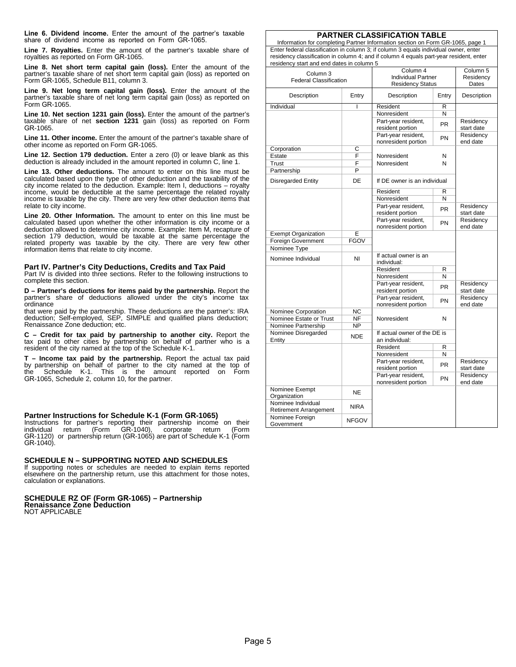**Line 6. Dividend income.** Enter the amount of the partner's taxable share of dividend income as reported on Form GR-1065.

**Line 7. Royalties.** Enter the amount of the partner's taxable share of royalties as reported on Form GR-1065.

**Line 8. Net short term capital gain (loss).** Enter the amount of the partner's taxable share of net short term capital gain (loss) as reported on Form GR-1065, Schedule B11, column 3.

**Line 9. Net long term capital gain (loss).** Enter the amount of the partner's taxable share of net long term capital gain (loss) as reported on Form GR-1065.

Line 10. Net section 1231 gain (loss). Enter the amount of the partner's taxable share of net **section 1231** gain (loss) as reported on Form GR-1065.

**Line 11. Other income.** Enter the amount of the partner's taxable share of other income as reported on Form GR-1065.

**Line 12. Section 179 deduction.** Enter a zero (0) or leave blank as this deduction is already included in the amount reported in column C, line 1.

**Line 13. Other deductions.** The amount to enter on this line must be calculated based upon the type of other deduction and the taxability of the city income related to the deduction. Example: Item I, deductions – royalty income, would be deductible at the same percentage the related royalty income is taxable by the city. There are very few other deduction items that relate to city income.

**Line 20. Other Information.** The amount to enter on this line must be calculated based upon whether the other information is city income or a deduction allowed to determine city income. Example: Item M, recapture of section 179 deduction, would be taxable at the same percentage the related property was taxable by the city. There are very few other information items that relate to city income.

**Part IV. Partner's City Deductions, Credits and Tax Paid**  Part IV is divided into three sections. Refer to the following instructions to complete this section.

**D – Partner's deductions for items paid by the partnership.** Report the partner's share of deductions allowed under the city's income tax **ordinance** 

that were paid by the partnership. These deductions are the partner's: IRA deduction; Self-employed, SEP, SIMPLE and qualified plans deduction; Renaissance Zone deduction; etc.

**C – Credit for tax paid by partnership to another city.** Report the tax paid to other cities by partnership on behalf of partner who is a resident of the city named at the top of the Schedule K-1.

**T – Income tax paid by the partnership.** Report the actual tax paid by partnership on behalf of partner to the city named at the top of the Schedule K-1. This is the amount reported on Form GR-1065, Schedule 2, column 10, for the partner.

#### **Partner Instructions for Schedule K-1 (Form GR-1065)**

Instructions for partner's reporting their partnership income on their individual return (Form GR-1040), corporate return (Form GR-1120) or partnership return (GR-1065) are part of Schedule K-1 (Form GR-1040).

#### **SCHEDULE N – SUPPORTING NOTED AND SCHEDULES**

If supporting notes or schedules are needed to explain items reported elsewhere on the partnership return, use this attachment for those notes, calculation or explanations.

## **SCHEDULE RZ OF (Form GR-1065) – Partnership Renaissance Zone Deduction**

NOT APPLICABLE

#### **PARTNER CLASSIFICATION TABLE**

Information for completing Partner Information section on Form GR-1065, page 1 Enter federal classification in column 3; if column 3 equals individual owner, enter residency classification in column 4; and if column 4 equals part-year resident, enter residency start and end dates in column 5

| Column <sub>3</sub>                                 | Column 4                  | Column <sub>5</sub>                        |           |                       |  |
|-----------------------------------------------------|---------------------------|--------------------------------------------|-----------|-----------------------|--|
| <b>Federal Classification</b>                       | <b>Individual Partner</b> | Residency                                  |           |                       |  |
|                                                     | <b>Residency Status</b>   | Dates                                      |           |                       |  |
| Description                                         | Entry                     | Description                                | Entry     | Description           |  |
| Individual                                          | ı                         | Resident                                   | R         |                       |  |
|                                                     |                           | Nonresident                                | N         |                       |  |
|                                                     |                           | Part-year resident,                        | <b>PR</b> | Residency             |  |
|                                                     |                           | resident portion                           |           | start date            |  |
|                                                     |                           | Part-year resident,                        | PN        | Residency             |  |
|                                                     |                           | nonresident portion                        |           | end date              |  |
| Corporation                                         | C                         |                                            |           |                       |  |
| Estate                                              | F                         | Nonresident                                | N         |                       |  |
| Trust                                               | F                         | Nonresident                                | N         |                       |  |
| Partnership                                         | $\overline{P}$            |                                            |           |                       |  |
| <b>Disregarded Entity</b>                           | DE                        | If DE owner is an individual               |           |                       |  |
|                                                     |                           | Resident                                   | R         |                       |  |
|                                                     |                           | Nonresident                                | N         |                       |  |
|                                                     |                           | Part-year resident,                        | <b>PR</b> | Residency             |  |
|                                                     |                           | resident portion                           |           | start date            |  |
|                                                     |                           | Part-year resident,                        | PN        | Residency             |  |
|                                                     |                           | nonresident portion                        |           | end date              |  |
| <b>Exempt Organization</b>                          | Е                         |                                            |           |                       |  |
| Foreign Government                                  | <b>FGOV</b>               |                                            |           |                       |  |
| Nominee Type                                        |                           |                                            |           |                       |  |
| Nominee Individual                                  | NI                        | If actual owner is an                      |           |                       |  |
|                                                     |                           | individual:                                |           |                       |  |
|                                                     |                           | Resident                                   | R         |                       |  |
|                                                     |                           | Nonresident<br>N                           |           |                       |  |
|                                                     |                           | Part-year resident,                        | <b>PR</b> | Residency             |  |
|                                                     |                           | resident portion                           |           | start date            |  |
|                                                     |                           | Part-year resident,<br>nonresident portion | PN        | Residency<br>end date |  |
| Nominee Corporation                                 | <b>NC</b>                 |                                            |           |                       |  |
| Nominee Estate or Trust                             | <b>NF</b>                 | Nonresident                                | N         |                       |  |
| Nominee Partnership                                 | <b>NP</b>                 |                                            |           |                       |  |
| Nominee Disregarded                                 |                           | If actual owner of the DE is               |           |                       |  |
| Entity                                              | <b>NDE</b>                | an individual:                             |           |                       |  |
|                                                     |                           | Resident<br>R                              |           |                       |  |
|                                                     |                           | $\overline{\mathsf{N}}$<br>Nonresident     |           |                       |  |
|                                                     |                           | Part-year resident,                        |           | Residency             |  |
|                                                     |                           | resident portion                           | <b>PR</b> | start date            |  |
|                                                     |                           | Part-year resident,                        | PN        | Residency             |  |
|                                                     |                           | nonresident portion                        |           | end date              |  |
| Nominee Exempt<br>Organization                      | <b>NE</b>                 |                                            |           |                       |  |
| Nominee Individual<br><b>Retirement Arrangement</b> | <b>NIRA</b>               |                                            |           |                       |  |
| Nominee Foreign<br>Government                       | <b>NFGOV</b>              |                                            |           |                       |  |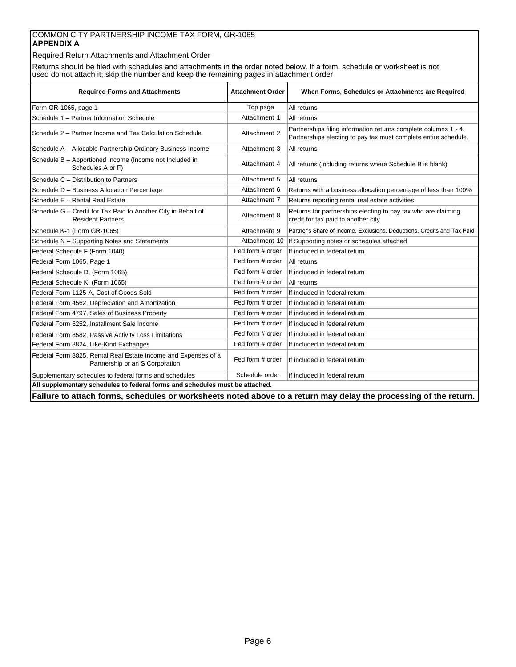### COMMON CITY PARTNERSHIP INCOME TAX FORM, GR-1065 **APPENDIX A**

Required Return Attachments and Attachment Order

Returns should be filed with schedules and attachments in the order noted below. If a form, schedule or worksheet is not used do not attach it; skip the number and keep the remaining pages in attachment order

| <b>Required Forms and Attachments</b>                                                             | <b>Attachment Order</b> | When Forms, Schedules or Attachments are Required                                                                                  |  |  |  |  |  |
|---------------------------------------------------------------------------------------------------|-------------------------|------------------------------------------------------------------------------------------------------------------------------------|--|--|--|--|--|
| Form GR-1065, page 1                                                                              | Top page                | All returns                                                                                                                        |  |  |  |  |  |
| Schedule 1 - Partner Information Schedule                                                         | Attachment 1            | All returns                                                                                                                        |  |  |  |  |  |
| Schedule 2 - Partner Income and Tax Calculation Schedule                                          | Attachment 2            | Partnerships filing information returns complete columns 1 - 4.<br>Partnerships electing to pay tax must complete entire schedule. |  |  |  |  |  |
| Schedule A - Allocable Partnership Ordinary Business Income                                       | Attachment 3            | All returns                                                                                                                        |  |  |  |  |  |
| Schedule B - Apportioned Income (Income not Included in<br>Schedules A or F)                      | Attachment 4            | All returns (including returns where Schedule B is blank)                                                                          |  |  |  |  |  |
| Schedule C - Distribution to Partners                                                             | Attachment 5            | All returns                                                                                                                        |  |  |  |  |  |
| Schedule D - Business Allocation Percentage                                                       | Attachment 6            | Returns with a business allocation percentage of less than 100%                                                                    |  |  |  |  |  |
| Schedule E - Rental Real Estate                                                                   | Attachment 7            | Returns reporting rental real estate activities                                                                                    |  |  |  |  |  |
| Schedule G - Credit for Tax Paid to Another City in Behalf of<br><b>Resident Partners</b>         | Attachment 8            | Returns for partnerships electing to pay tax who are claiming<br>credit for tax paid to another city                               |  |  |  |  |  |
| Schedule K-1 (Form GR-1065)                                                                       | Attachment 9            | Partner's Share of Income, Exclusions, Deductions, Credits and Tax Paid                                                            |  |  |  |  |  |
| Schedule N - Supporting Notes and Statements                                                      | Attachment 10           | If Supporting notes or schedules attached                                                                                          |  |  |  |  |  |
| Federal Schedule F (Form 1040)                                                                    | Fed form # order        | If included in federal return                                                                                                      |  |  |  |  |  |
| Federal Form 1065, Page 1                                                                         | Fed form # order        | All returns                                                                                                                        |  |  |  |  |  |
| Federal Schedule D, (Form 1065)                                                                   | Fed form # order        | If included in federal return                                                                                                      |  |  |  |  |  |
| Federal Schedule K, (Form 1065)                                                                   | Fed form # order        | All returns                                                                                                                        |  |  |  |  |  |
| Federal Form 1125-A. Cost of Goods Sold                                                           | Fed form # order        | If included in federal return                                                                                                      |  |  |  |  |  |
| Federal Form 4562, Depreciation and Amortization                                                  | Fed form # order        | If included in federal return                                                                                                      |  |  |  |  |  |
| Federal Form 4797, Sales of Business Property                                                     | Fed form # order        | If included in federal return                                                                                                      |  |  |  |  |  |
| Federal Form 6252. Installment Sale Income                                                        | Fed form # order        | If included in federal return                                                                                                      |  |  |  |  |  |
| Federal Form 8582, Passive Activity Loss Limitations                                              | Fed form # order        | If included in federal return                                                                                                      |  |  |  |  |  |
| Federal Form 8824, Like-Kind Exchanges                                                            | Fed form # order        | If included in federal return                                                                                                      |  |  |  |  |  |
| Federal Form 8825, Rental Real Estate Income and Expenses of a<br>Partnership or an S Corporation | Fed form # order        | If included in federal return                                                                                                      |  |  |  |  |  |
| Supplementary schedules to federal forms and schedules                                            | Schedule order          | If included in federal return                                                                                                      |  |  |  |  |  |
| All supplementary schedules to federal forms and schedules must be attached.                      |                         |                                                                                                                                    |  |  |  |  |  |

**Failure to attach forms, schedules or worksheets noted above to a return may delay the processing of the return.**